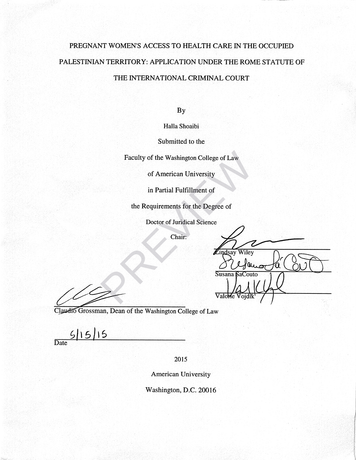# PREGNANT WOMEN'S ACCESS TO HEALTH CARE IN THE OCCUPIED PALESTINIAN TERRITORY: APPLICATION UNDER THE ROME STATUTE OF THE INTERNATIONAL CRIMINAL COURT

**By** 

Halla Shoaibi

Submitted to the

Faculty of the Washington College of Law<br>
of American University<br>
in Partial Fulfillment of<br>
the Requirements for the Degree of<br>
Doctor of Juridical Science<br>
Chair:<br>
Chair:<br>
Turissay Wiley<br>
Susana FaCout<br>
Valore Vojdik

Claudio Grossman, Dean of the Washington College of Law

 $5|15|15$ Date

2015

**American University** 

Washington, D.C. 20016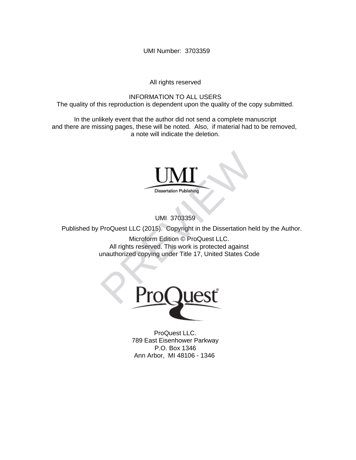UMI Number: 3703359

All rights reserved

INFORMATION TO ALL USERS The quality of this reproduction is dependent upon the quality of the copy submitted.

In the unlikely event that the author did not send a complete manuscript and there are missing pages, these will be noted. Also, if material had to be removed, a note will indicate the deletion.



UMI 3703359

Published by ProQuest LLC (2015). Copyright in the Dissertation held by the Author.

Microform Edition © ProQuest LLC. All rights reserved. This work is protected against unauthorized copying under Title 17, United States Code



ProQuest LLC. 789 East Eisenhower Parkway P.O. Box 1346 Ann Arbor, MI 48106 - 1346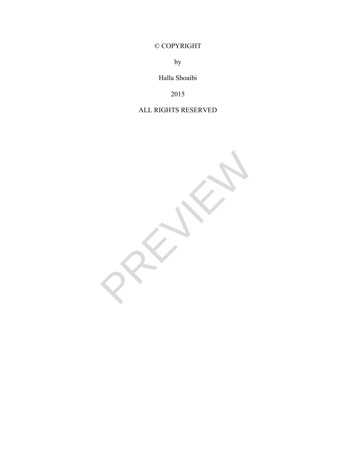© COPYRIGHT

by

Halla Shoaibi

2015

## ALL RIGHTS RESERVED

PREVIEWS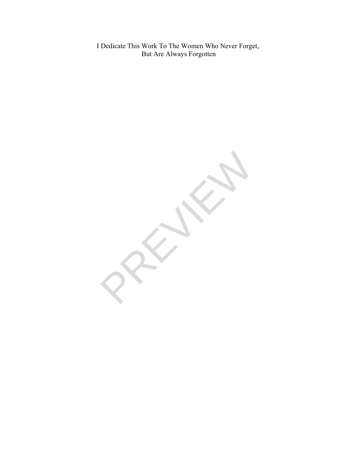I Dedicate This Work To The Women Who Never Forget, But Are Always Forgotten

PREVIEWS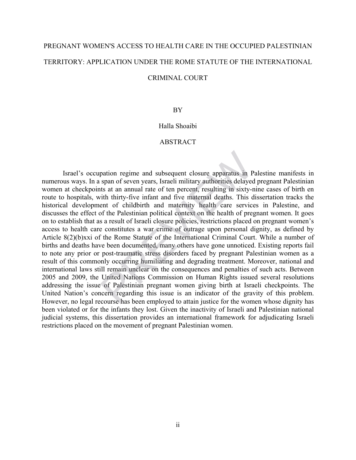# PREGNANT WOMEN'S ACCESS TO HEALTH CARE IN THE OCCUPIED PALESTINIAN TERRITORY: APPLICATION UNDER THE ROME STATUTE OF THE INTERNATIONAL

### CRIMINAL COURT

### BY

### Halla Shoaibi

### ABSTRACT

Israel's occupation regime and subsequent closure apparatus in Palestine manifests in numerous ways. In a span of seven years, Israeli military authorities delayed pregnant Palestinian women at checkpoints at an annual rate of ten percent, resulting in sixty-nine cases of birth en route to hospitals, with thirty-five infant and five maternal deaths. This dissertation tracks the historical development of childbirth and maternity health care services in Palestine, and discusses the effect of the Palestinian political context on the health of pregnant women. It goes on to establish that as a result of Israeli closure policies, restrictions placed on pregnant women's access to health care constitutes a war crime of outrage upon personal dignity, as defined by Article 8(2)(b)xxi of the Rome Statute of the International Criminal Court. While a number of births and deaths have been documented, many others have gone unnoticed. Existing reports fail to note any prior or post-traumatic stress disorders faced by pregnant Palestinian women as a result of this commonly occurring humiliating and degrading treatment. Moreover, national and international laws still remain unclear on the consequences and penalties of such acts. Between 2005 and 2009, the United Nations Commission on Human Rights issued several resolutions addressing the issue of Palestinian pregnant women giving birth at Israeli checkpoints. The United Nation's concern regarding this issue is an indicator of the gravity of this problem. However, no legal recourse has been employed to attain justice for the women whose dignity has been violated or for the infants they lost. Given the inactivity of Israeli and Palestinian national judicial systems, this dissertation provides an international framework for adjudicating Israeli restrictions placed on the movement of pregnant Palestinian women. pation regime and subsequent closure apparatus in P<br>span of seven years, Israeli military authorities delayee<br>ths at an annual rate of ten precent, resulting in sixty-<br>rith thirty-five infant and five maternal deaths. This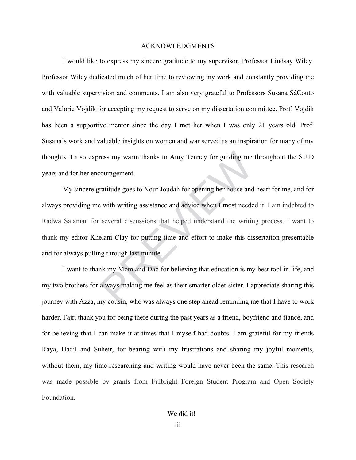### ACKNOWLEDGMENTS

 I would like to express my sincere gratitude to my supervisor, Professor Lindsay Wiley. Professor Wiley dedicated much of her time to reviewing my work and constantly providing me with valuable supervision and comments. I am also very grateful to Professors Susana SáCouto and Valorie Vojdik for accepting my request to serve on my dissertation committee. Prof. Vojdik has been a supportive mentor since the day I met her when I was only 21 years old. Prof. Susana's work and valuable insights on women and war served as an inspiration for many of my thoughts. I also express my warm thanks to Amy Tenney for guiding me throughout the S.J.D years and for her encouragement.

My sincere gratitude goes to Nour Joudah for opening her house and heart for me, and for always providing me with writing assistance and advice when I most needed it. I am indebted to Radwa Salaman for several discussions that helped understand the writing process. I want to thank my editor Khelani Clay for putting time and effort to make this dissertation presentable and for always pulling through last minute. ress my warm thanks to Amy Tenney for guiding me<br>couragement.<br>Tratitude goes to Nour Joudah for opening her house and<br>e with writing assistance and advice when I most neede<br>several discussions that helped understand the wr

I want to thank my Mom and Dad for believing that education is my best tool in life, and my two brothers for always making me feel as their smarter older sister. I appreciate sharing this journey with Azza, my cousin, who was always one step ahead reminding me that I have to work harder. Fajr, thank you for being there during the past years as a friend, boyfriend and fiancé, and for believing that I can make it at times that I myself had doubts. I am grateful for my friends Raya, Hadil and Suheir, for bearing with my frustrations and sharing my joyful moments, without them, my time researching and writing would have never been the same. This research was made possible by grants from Fulbright Foreign Student Program and Open Society Foundation.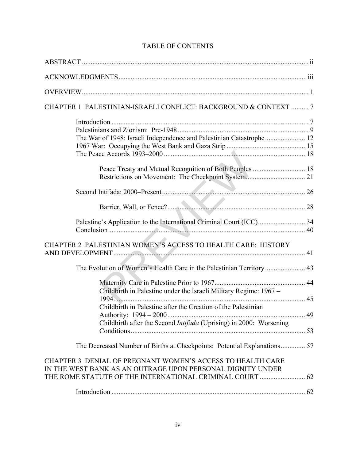| CHAPTER 1 PALESTINIAN-ISRAELI CONFLICT: BACKGROUND & CONTEXT  7                                                                                                                      |  |
|--------------------------------------------------------------------------------------------------------------------------------------------------------------------------------------|--|
| The War of 1948: Israeli Independence and Palestinian Catastrophe 12                                                                                                                 |  |
|                                                                                                                                                                                      |  |
|                                                                                                                                                                                      |  |
|                                                                                                                                                                                      |  |
|                                                                                                                                                                                      |  |
| CHAPTER 2 PALESTINIAN WOMEN'S ACCESS TO HEALTH CARE: HISTORY                                                                                                                         |  |
|                                                                                                                                                                                      |  |
| Childbirth in Palestine under the Israeli Military Regime: 1967 -                                                                                                                    |  |
| Childbirth in Palestine after the Creation of the Palestinian                                                                                                                        |  |
| Childbirth after the Second Intifada (Uprising) in 2000: Worsening                                                                                                                   |  |
| The Decreased Number of Births at Checkpoints: Potential Explanations 57                                                                                                             |  |
| CHAPTER 3 DENIAL OF PREGNANT WOMEN'S ACCESS TO HEALTH CARE<br>IN THE WEST BANK AS AN OUTRAGE UPON PERSONAL DIGNITY UNDER<br>THE ROME STATUTE OF THE INTERNATIONAL CRIMINAL COURT  62 |  |
|                                                                                                                                                                                      |  |

### TABLE OF CONTENTS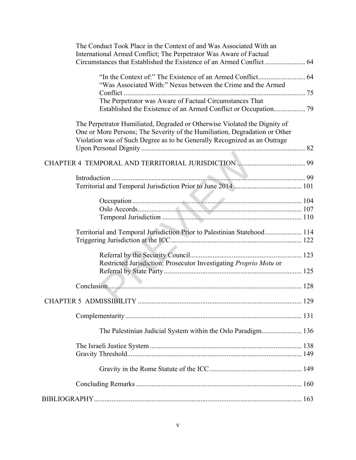| The Conduct Took Place in the Context of and Was Associated With an                                                                                                                                                            |  |
|--------------------------------------------------------------------------------------------------------------------------------------------------------------------------------------------------------------------------------|--|
| International Armed Conflict; The Perpetrator Was Aware of Factual                                                                                                                                                             |  |
|                                                                                                                                                                                                                                |  |
| "Was Associated With:" Nexus between the Crime and the Armed                                                                                                                                                                   |  |
|                                                                                                                                                                                                                                |  |
| The Perpetrator was Aware of Factual Circumstances That                                                                                                                                                                        |  |
|                                                                                                                                                                                                                                |  |
| The Perpetrator Humiliated, Degraded or Otherwise Violated the Dignity of                                                                                                                                                      |  |
| One or More Persons; The Severity of the Humiliation, Degradation or Other                                                                                                                                                     |  |
| Violation was of Such Degree as to be Generally Recognized as an Outrage                                                                                                                                                       |  |
|                                                                                                                                                                                                                                |  |
| CHAPTER 4 TEMPORAL AND TERRITORIAL JURISDICTION MARRISTER 4 TEMPORAL AND TERRITORIAL JURISDICTION                                                                                                                              |  |
|                                                                                                                                                                                                                                |  |
|                                                                                                                                                                                                                                |  |
|                                                                                                                                                                                                                                |  |
|                                                                                                                                                                                                                                |  |
|                                                                                                                                                                                                                                |  |
|                                                                                                                                                                                                                                |  |
| Territorial and Temporal Jurisdiction Prior to Palestinian Statehood 114                                                                                                                                                       |  |
|                                                                                                                                                                                                                                |  |
|                                                                                                                                                                                                                                |  |
| Restricted Jurisdiction: Prosecutor Investigating Proprio Motu or                                                                                                                                                              |  |
|                                                                                                                                                                                                                                |  |
| Conclusion 2008 and 2008 and 2008 and 2008 and 2008 and 2008 and 2008 and 2008 and 2008 and 2008 and 2008 and 2008 and 2008 and 2008 and 2008 and 2008 and 2008 and 2008 and 2008 and 2008 and 2008 and 2008 and 2008 and 2008 |  |
|                                                                                                                                                                                                                                |  |
|                                                                                                                                                                                                                                |  |
| The Palestinian Judicial System within the Oslo Paradigm 136                                                                                                                                                                   |  |
|                                                                                                                                                                                                                                |  |
|                                                                                                                                                                                                                                |  |
|                                                                                                                                                                                                                                |  |
|                                                                                                                                                                                                                                |  |
|                                                                                                                                                                                                                                |  |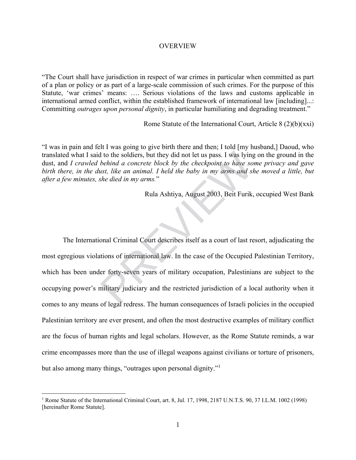### OVERVIEW

"The Court shall have jurisdiction in respect of war crimes in particular when committed as part of a plan or policy or as part of a large-scale commission of such crimes. For the purpose of this Statute, 'war crimes' means: …. Serious violations of the laws and customs applicable in international armed conflict, within the established framework of international law [including]...: Committing *outrages upon personal dignity*, in particular humiliating and degrading treatment."

Rome Statute of the International Court, Article 8 (2)(b)(xxi)

"I was in pain and felt I was going to give birth there and then; I told [my husband,] Daoud, who translated what I said to the soldiers, but they did not let us pass. I was lying on the ground in the dust, and *I crawled behind a concrete block by the checkpoint to have some privacy and gave birth there, in the dust, like an animal. I held the baby in my arms and she moved a little, but after a few minutes, she died in my arms.*"

Rula Ashtiya, August 2003, Beit Furik, occupied West Bank

The International Criminal Court describes itself as a court of last resort, adjudicating the most egregious violations of international law. In the case of the Occupied Palestinian Territory, which has been under forty-seven years of military occupation, Palestinians are subject to the occupying power's military judiciary and the restricted jurisdiction of a local authority when it comes to any means of legal redress. The human consequences of Israeli policies in the occupied Palestinian territory are ever present, and often the most destructive examples of military conflict are the focus of human rights and legal scholars. However, as the Rome Statute reminds, a war crime encompasses more than the use of illegal weapons against civilians or torture of prisoners, but also among many things, "outrages upon personal dignity."<sup>1</sup> It to the soldiers, but they did not let us pass. I was lying<br>behind a concrete block by the checkpoint to have so<br>ust, like an animal. I held the baby in my arms and sh<br>he died in my arms."<br>Rula Ashtiya, August 2003, Beit

1

<sup>&</sup>lt;sup>1</sup> Rome Statute of the International Criminal Court, art. 8, Jul. 17, 1998, 2187 U.N.T.S. 90, 37 I.L.M. 1002 (1998) [hereinafter Rome Statute].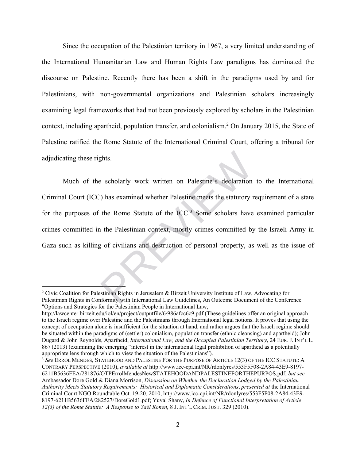Since the occupation of the Palestinian territory in 1967, a very limited understanding of the International Humanitarian Law and Human Rights Law paradigms has dominated the discourse on Palestine. Recently there has been a shift in the paradigms used by and for Palestinians, with non-governmental organizations and Palestinian scholars increasingly examining legal frameworks that had not been previously explored by scholars in the Palestinian context, including apartheid, population transfer, and colonialism.<sup>2</sup> On January 2015, the State of Palestine ratified the Rome Statute of the International Criminal Court, offering a tribunal for adjudicating these rights.

Much of the scholarly work written on Palestine's declaration to the International Criminal Court (ICC) has examined whether Palestine meets the statutory requirement of a state for the purposes of the Rome Statute of the  $ICC.^3$  Some scholars have examined particular crimes committed in the Palestinian context, mostly crimes committed by the Israeli Army in Gaza such as killing of civilians and destruction of personal property, as well as the issue of e scholarly work written on Palestine's declaration<br>
2) has examined whether Palestine meets the statutory r<br>
the Rome Statute of the ICC.<sup>3</sup> Some scholars have<br>
1) the Palestinian context, mostly crimes committed by<br>
2) o

<sup>&</sup>lt;sup>2</sup> Civic Coalition for Palestinian Rights in Jerusalem & Birzeit University Institute of Law, Advocating for Palestinian Rights in Conformity with International Law Guidelines, An Outcome Document of the Conference "Options and Strategies for the Palestinian People in International Law,

http://lawcenter.birzeit.edu/iol/en/project/outputfile/6/986afcc6c9.pdf (These guidelines offer an original approach to the Israeli regime over Palestine and the Palestinians through International legal notions. It proves that using the concept of occupation alone is insufficient for the situation at hand, and rather argues that the Israeli regime should be situated within the paradigms of (settler) colonialism, population transfer (ethnic cleansing) and apartheid); John Dugard & John Reynolds, Apartheid, *International Law, and the Occupied Palestinian Territory*, 24 EUR. J. INT'L L. 867 (2013) (examining the emerging "interest in the international legal prohibition of apartheid as a potentially appropriate lens through which to view the situation of the Palestinians"). 3 *See* ERROL MENDES, STATEHOOD AND PALESTINE FOR THE PURPOSE OF ARTICLE 12(3) OF THE ICC STATUTE: <sup>A</sup>

CONTRARY PERSPECTIVE (2010), *available at* http://www.icc-cpi.int/NR/rdonlyres/553F5F08-2A84-43E9-8197- 6211B5636FEA/281876/OTPErrolMendesNewSTATEHOODANDPALESTINEFORTHEPURPOS.pdf; *but see* Ambassador Dore Gold & Diana Morrison, *Discussion on Whether the Declaration Lodged by the Palestinian Authority Meets Statutory Requirements: Historical and Diplomatic Considerations*, *presented at* the International Criminal Court NGO Roundtable Oct. 19-20, 2010, http://www.icc-cpi.int/NR/rdonlyres/553F5F08-2A84-43E9- 8197-6211B5636FEA/282527/DoreGold1.pdf; Yuval Shany, *In Defence of Functional Interpretation of Article 12(3) of the Rome Statute: A Response to Yaël Ronen*, 8 J. INT'L CRIM. JUST. 329 (2010).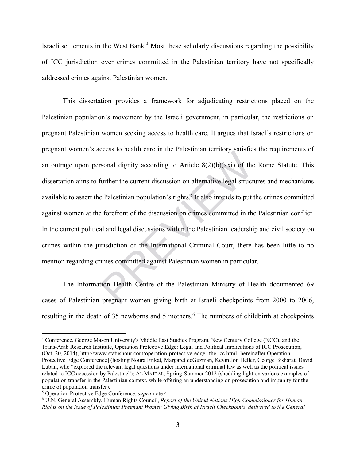Israeli settlements in the West Bank.<sup>4</sup> Most these scholarly discussions regarding the possibility of ICC jurisdiction over crimes committed in the Palestinian territory have not specifically addressed crimes against Palestinian women.

This dissertation provides a framework for adjudicating restrictions placed on the Palestinian population's movement by the Israeli government, in particular, the restrictions on pregnant Palestinian women seeking access to health care. It argues that Israel's restrictions on pregnant women's access to health care in the Palestinian territory satisfies the requirements of an outrage upon personal dignity according to Article  $8(2)(b)(xxi)$  of the Rome Statute. This dissertation aims to further the current discussion on alternative legal structures and mechanisms available to assert the Palestinian population's rights.<sup>5</sup> It also intends to put the crimes committed against women at the forefront of the discussion on crimes committed in the Palestinian conflict. In the current political and legal discussions within the Palestinian leadership and civil society on crimes within the jurisdiction of the International Criminal Court, there has been little to no mention regarding crimes committed against Palestinian women in particular. rsonal dignity according to Article 8(2)(b)(xxi) of the<br>further the current discussion on alternative legal struct<br>e Palestinian population's rights.<sup>5</sup> It also intends to put<br>e forefront of the discussion on crimes commit

The Information Health Centre of the Palestinian Ministry of Health documented 69 cases of Palestinian pregnant women giving birth at Israeli checkpoints from 2000 to 2006, resulting in the death of 35 newborns and 5 mothers.<sup>6</sup> The numbers of childbirth at checkpoints

<sup>4</sup> Conference, George Mason University's Middle East Studies Program, New Century College (NCC), and the Trans-Arab Research Institute, Operation Protective Edge: Legal and Political Implications of ICC Prosecution, (Oct. 20, 2014), http://www.statushour.com/operation-protective-edge--the-icc.html [hereinafter Operation Protective Edge Conference] (hosting Noura Erikat, Margaret deGuzman, Kevin Jon Heller, George Bisharat, David Luban, who "explored the relevant legal questions under international criminal law as well as the political issues related to ICC accession by Palestine"); AL MAJDAL, Spring-Summer 2012 (shedding light on various examples of population transfer in the Palestinian context, while offering an understanding on prosecution and impunity for the crime of population transfer).

<sup>&</sup>lt;sup>5</sup> Operation Protective Edge Conference, *supra* note 4.<br><sup>6</sup> U.N. General Assembly, Human Rights Council, *Ren* 

U.N. General Assembly, Human Rights Council, *Report of the United Nations High Commissioner for Human Rights on the Issue of Palestinian Pregnant Women Giving Birth at Israeli Checkpoints*, *delivered to the General*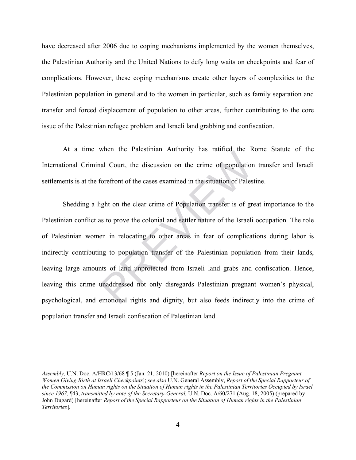have decreased after 2006 due to coping mechanisms implemented by the women themselves, the Palestinian Authority and the United Nations to defy long waits on checkpoints and fear of complications. However, these coping mechanisms create other layers of complexities to the Palestinian population in general and to the women in particular, such as family separation and transfer and forced displacement of population to other areas, further contributing to the core issue of the Palestinian refugee problem and Israeli land grabbing and confiscation.

At a time when the Palestinian Authority has ratified the Rome Statute of the International Criminal Court, the discussion on the crime of population transfer and Israeli settlements is at the forefront of the cases examined in the situation of Palestine.

Shedding a light on the clear crime of Population transfer is of great importance to the Palestinian conflict as to prove the colonial and settler nature of the Israeli occupation. The role of Palestinian women in relocating to other areas in fear of complications during labor is indirectly contributing to population transfer of the Palestinian population from their lands, leaving large amounts of land unprotected from Israeli land grabs and confiscation. Hence, leaving this crime unaddressed not only disregards Palestinian pregnant women's physical, psychological, and emotional rights and dignity, but also feeds indirectly into the crime of population transfer and Israeli confiscation of Palestinian land. all Court, the discussion on the crime of population<br>forefront of the cases examined in the situation of Pales<br>ight on the clear crime of Population transfer is of gre<br>as to prove the colonial and settler nature of the Isr

<u>.</u>

*Assembly*, U.N. Doc. A/HRC/13/68 ¶ 5 (Jan. 21, 2010) [hereinafter *Report on the Issue of Palestinian Pregnant Women Giving Birth at Israeli Checkpoints*]; *see also* U.N. General Assembly, *Report of the Special Rapporteur of the Commission on Human rights on the Situation of Human rights in the Palestinian Territories Occupied by Israel since 1967*, ¶43, *transmitted by note of the Secretary-General,* U.N. Doc. A/60/271 (Aug. 18, 2005) (prepared by John Dugard) [hereinafter *Report of the Special Rapporteur on the Situation of Human rights in the Palestinian Territories*].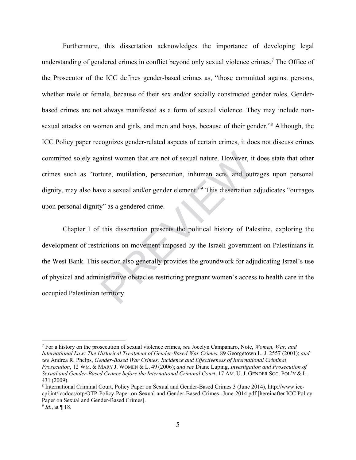Furthermore, this dissertation acknowledges the importance of developing legal understanding of gendered crimes in conflict beyond only sexual violence crimes.<sup>7</sup> The Office of the Prosecutor of the ICC defines gender-based crimes as, "those committed against persons, whether male or female, because of their sex and/or socially constructed gender roles. Genderbased crimes are not always manifested as a form of sexual violence. They may include nonsexual attacks on women and girls, and men and boys, because of their gender."<sup>8</sup> Although, the ICC Policy paper recognizes gender-related aspects of certain crimes, it does not discuss crimes committed solely against women that are not of sexual nature. However, it does state that other crimes such as "torture, mutilation, persecution, inhuman acts, and outrages upon personal dignity, may also have a sexual and/or gender element."<sup>9</sup> This dissertation adjudicates "outrages upon personal dignity" as a gendered crime.

Chapter I of this dissertation presents the political history of Palestine, exploring the development of restrictions on movement imposed by the Israeli government on Palestinians in the West Bank. This section also generally provides the groundwork for adjudicating Israel's use of physical and administrative obstacles restricting pregnant women's access to health care in the occupied Palestinian territory. ainst women that are not of sexual nature. However, it<br>ture, mutilation, persecution, inhuman acts, and out<br>ve a sexual and/or gender element."<sup>9</sup> This dissertation<br>y" as a gendered crime.<br>this dissertation presents the po

<sup>7</sup> For a history on the prosecution of sexual violence crimes, *see* Jocelyn Campanaro, Note, *Women, War, and International Law: The Historical Treatment of Gender-Based War Crimes*, 89 Georgetown L. J. 2557 (2001); *and see* Andrea R. Phelps, *Gender-Based War Crimes: Incidence and Effectiveness of International Criminal Prosecution*, 12 WM. & MARY J. WOMEN & L. 49 (2006); *and see* Diane Luping, *Investigation and Prosecution of Sexual and Gender-Based Crimes before the International Criminal Court*, 17 AM. U. J. GENDER SOC. POL'Y & L. 431 (2009).

<sup>8</sup> International Criminal Court, Policy Paper on Sexual and Gender-Based Crimes 3 (June 2014), http://www.icccpi.int/iccdocs/otp/OTP-Policy-Paper-on-Sexual-and-Gender-Based-Crimes--June-2014.pdf [hereinafter ICC Policy Paper on Sexual and Gender-Based Crimes].

 $9$  *Id.*, at  $\P$  18.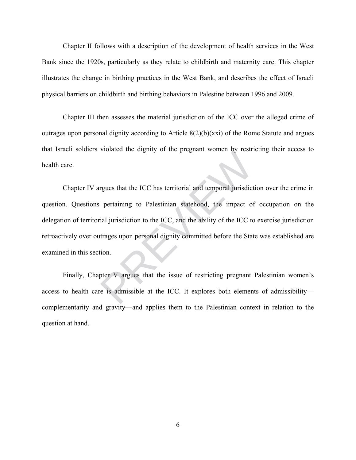Chapter II follows with a description of the development of health services in the West Bank since the 1920s, particularly as they relate to childbirth and maternity care. This chapter illustrates the change in birthing practices in the West Bank, and describes the effect of Israeli physical barriers on childbirth and birthing behaviors in Palestine between 1996 and 2009.

Chapter III then assesses the material jurisdiction of the ICC over the alleged crime of outrages upon personal dignity according to Article 8(2)(b)(xxi) of the Rome Statute and argues that Israeli soldiers violated the dignity of the pregnant women by restricting their access to health care.

Chapter IV argues that the ICC has territorial and temporal jurisdiction over the crime in question. Questions pertaining to Palestinian statehood, the impact of occupation on the delegation of territorial jurisdiction to the ICC, and the ability of the ICC to exercise jurisdiction retroactively over outrages upon personal dignity committed before the State was established are examined in this section. The distribution of the pregnant worker by test<br>represents that the ICC has territorial and temporal jurisdict<br>pertaining to Palestinian statehood, the impact of<br>ial jurisdiction to the ICC, and the ability of the ICC to<br>t

Finally, Chapter V argues that the issue of restricting pregnant Palestinian women's access to health care is admissible at the ICC. It explores both elements of admissibility complementarity and gravity—and applies them to the Palestinian context in relation to the question at hand.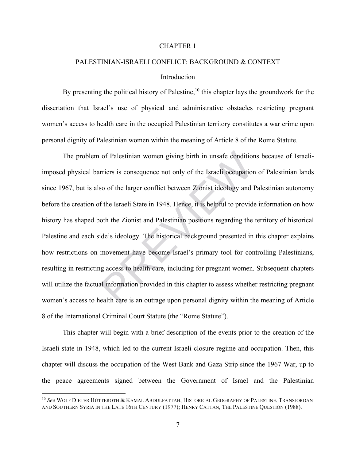### CHAPTER 1

## PALESTINIAN-ISRAELI CONFLICT: BACKGROUND & CONTEXT Introduction

By presenting the political history of Palestine,<sup>10</sup> this chapter lays the groundwork for the dissertation that Israel's use of physical and administrative obstacles restricting pregnant women's access to health care in the occupied Palestinian territory constitutes a war crime upon personal dignity of Palestinian women within the meaning of Article 8 of the Rome Statute.

The problem of Palestinian women giving birth in unsafe conditions because of Israeliimposed physical barriers is consequence not only of the Israeli occupation of Palestinian lands since 1967, but is also of the larger conflict between Zionist ideology and Palestinian autonomy before the creation of the Israeli State in 1948. Hence, it is helpful to provide information on how history has shaped both the Zionist and Palestinian positions regarding the territory of historical Palestine and each side's ideology. The historical background presented in this chapter explains how restrictions on movement have become Israel's primary tool for controlling Palestinians, resulting in restricting access to health care, including for pregnant women. Subsequent chapters will utilize the factual information provided in this chapter to assess whether restricting pregnant women's access to health care is an outrage upon personal dignity within the meaning of Article 8 of the International Criminal Court Statute (the "Rome Statute"). of Palestinian women giving birth in unsafe condition<br>rriers is consequence not only of the Israeli occupation<br>so of the larger conflict between Zionist ideology and l<br>f the Israeli State in 1948. Hence, it is helpful to p

This chapter will begin with a brief description of the events prior to the creation of the Israeli state in 1948, which led to the current Israeli closure regime and occupation. Then, this chapter will discuss the occupation of the West Bank and Gaza Strip since the 1967 War, up to the peace agreements signed between the Government of Israel and the Palestinian

<sup>10</sup> *See* WOLF DIETER HÜTTEROTH & KAMAL ABDULFATTAH, HISTORICAL GEOGRAPHY OF PALESTINE, TRANSJORDAN AND SOUTHERN SYRIA IN THE LATE 16TH CENTURY (1977); HENRY CATTAN, THE PALESTINE QUESTION (1988).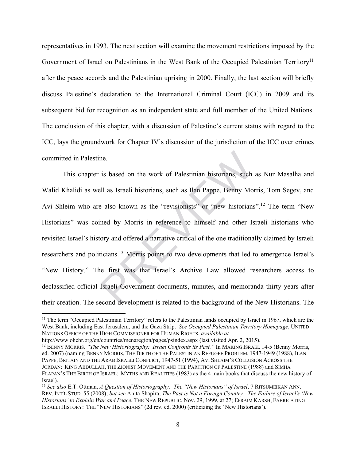representatives in 1993. The next section will examine the movement restrictions imposed by the Government of Israel on Palestinians in the West Bank of the Occupied Palestinian Territory<sup>11</sup> after the peace accords and the Palestinian uprising in 2000. Finally, the last section will briefly discuss Palestine's declaration to the International Criminal Court (ICC) in 2009 and its subsequent bid for recognition as an independent state and full member of the United Nations. The conclusion of this chapter, with a discussion of Palestine's current status with regard to the ICC, lays the groundwork for Chapter IV's discussion of the jurisdiction of the ICC over crimes committed in Palestine.

This chapter is based on the work of Palestinian historians, such as Nur Masalha and Walid Khalidi as well as Israeli historians, such as Ilan Pappe, Benny Morris, Tom Segev, and Avi Shleim who are also known as the "revisionists" or "new historians".12 The term "New Historians" was coined by Morris in reference to himself and other Israeli historians who revisited Israel's history and offered a narrative critical of the one traditionally claimed by Israeli researchers and politicians.<sup>13</sup> Morris points to two developments that led to emergence Israel's "New History." The first was that Israel's Archive Law allowed researchers access to declassified official Israeli Government documents, minutes, and memoranda thirty years after their creation. The second development is related to the background of the New Historians. The ne.<br>
is based on the work of Palestinian historians, such<br>
ell as Israeli historians, such as Ilan Pappe, Benny Mo<br>
e also known as the "revisionists" or "new historians<br>
ined by Morris in reference to himself and other Is

 $\overline{a}$ 

http://www.ohchr.org/en/countries/menaregion/pages/psindex.aspx (last visited Apr. 2, 2015).<br><sup>12</sup> BENNY MORRIS, *"The New Historiography: Israel Confronts its Past."* In MAKING ISRAEL 14-5 (Benny Morris, ed. 2007) (naming BENNY MORRIS, THE BIRTH OF THE PALESTINIAN REFUGEE PROBLEM, 1947-1949 (1988), ILAN PAPPE, BRITAIN AND THE ARAB ISRAELI CONFLICT, 1947-51 (1994), AVI SHLAIM'S COLLUSION ACROSS THE JORDAN: KING ABDULLAH, THE ZIONIST MOVEMENT AND THE PARTITION OF PALESTINE (1988) and SIMHA FLAPAN'S THE BIRTH OF ISRAEL: MYTHS AND REALITIES (1983) as the 4 main books that discuss the new history of Israel).

<sup>&</sup>lt;sup>11</sup> The term "Occupied Palestinian Territory" refers to the Palestinian lands occupied by Israel in 1967, which are the West Bank, including East Jerusalem, and the Gaza Strip. *See Occupied Palestinian Territory Homepage*, UNITED NATIONS OFFICE OF THE HIGH COMMISSIONER FOR HUMAN RIGHTS, *available at* 

<sup>13</sup> *See also* E.T. Ottman, *A Question of Historiography: The "New Historians" of Israel*, 7 RITSUMEIKAN ANN. REV. INT'L STUD. 55 (2008); *but see* Anita Shapira, *The Past is Not a Foreign Country: The Failure of Israel's 'New Historians' to Explain War and Peace*, THE NEW REPUBLIC, Nov. 29, 1999, at 27; EFRAIM KARSH, FABRICATING ISRAELI HISTORY: THE "NEW HISTORIANS" (2d rev. ed. 2000) (criticizing the 'New Historians').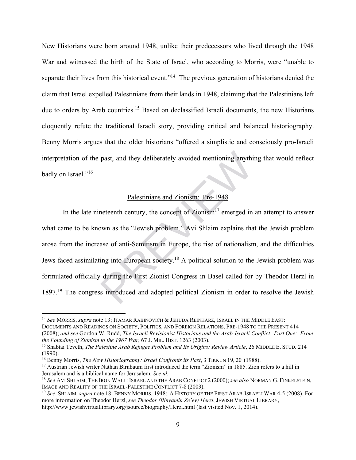New Historians were born around 1948, unlike their predecessors who lived through the 1948 War and witnessed the birth of the State of Israel, who according to Morris, were "unable to separate their lives from this historical event."<sup>14</sup> The previous generation of historians denied the claim that Israel expelled Palestinians from their lands in 1948, claiming that the Palestinians left due to orders by Arab countries.<sup>15</sup> Based on declassified Israeli documents, the new Historians eloquently refute the traditional Israeli story, providing critical and balanced historiography. Benny Morris argues that the older historians "offered a simplistic and consciously pro-Israeli interpretation of the past, and they deliberately avoided mentioning anything that would reflect badly on Israel."<sup>16</sup>

### Palestinians and Zionism: Pre-1948

In the late nineteenth century, the concept of  $Z$ ionism<sup>17</sup> emerged in an attempt to answer what came to be known as the "Jewish problem." Avi Shlaim explains that the Jewish problem arose from the increase of anti-Semitism in Europe, the rise of nationalism, and the difficulties Jews faced assimilating into European society.18 A political solution to the Jewish problem was formulated officially during the First Zionist Congress in Basel called for by Theodor Herzl in 1897.19 The congress introduced and adopted political Zionism in order to resolve the Jewish past, and they deliberately avoided mentioning anythi<br>
<u>Palestinians and Zionism:</u> Pre-1948<br>
neteenth century, the concept of Zionism<sup>17</sup> emerged in<br>
bwn as the "Jewish problem." Avi Shlaim explains tha<br>
ase of anti-Semiti

<sup>14</sup> *See* MORRIS, *supra* note 13; ITAMAR RABINOVICH & JEHUDA REINHARZ, ISRAEL IN THE MIDDLE EAST: DOCUMENTS AND READINGS ON SOCIETY, POLITICS, AND FOREIGN RELATIONS, PRE-1948 TO THE PRESENT 414 (2008); *and see* Gordon W. Rudd, *The Israeli Revisionist Historians and the Arab-Israeli Conflict--Part One: From the Founding of Zionism to the 1967 War*, 67 J. MIL. HIST. 1263 (2003).<br><sup>15</sup> Shabtai Teveth, *The Palestine Arab Refugee Problem and Its Origins: Review Article*, 26 MIDDLE E. STUD. 214

<sup>(1990).</sup> 

<sup>&</sup>lt;sup>16</sup> Benny Morris, *The New Historiography: Israel Confronts its Past*, 3 TIKKUN 19, 20 (1988).<br><sup>17</sup> Austrian Jewish writer Nathan Birnbaum first introduced the term "Zionism" in 1885. Zion refers to a hill in Jerusalem an

<sup>&</sup>lt;sup>18</sup> See AVI SHLAIM, THE IRON WALL: ISRAEL AND THE ARAB CONFLICT 2 (2000); *see also* NORMAN G. FINKELSTEIN, IMAGE AND REALITY OF THE ISRAEL-PALESTINE CONFLICT 7-8 (2003).

<sup>&</sup>lt;sup>19</sup> See SHLAIM, *supra* note 18; BENNY MORRIS, 1948: A HISTORY OF THE FIRST ARAB-ISRAELI WAR 4-5 (2008). For more information on Theodor Herzl, *see Theodor (Binyamin Ze'ev) Herzl*, JEWISH VIRTUAL LIBRARY, http://www.jewishvirtuallibrary.org/jsource/biography/Herzl.html (last visited Nov. 1, 2014).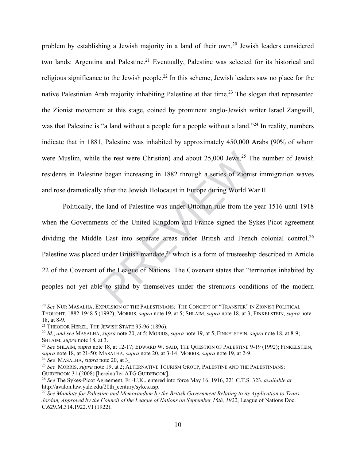problem by establishing a Jewish majority in a land of their own.20 Jewish leaders considered two lands: Argentina and Palestine.<sup>21</sup> Eventually, Palestine was selected for its historical and religious significance to the Jewish people.<sup>22</sup> In this scheme, Jewish leaders saw no place for the native Palestinian Arab majority inhabiting Palestine at that time.<sup>23</sup> The slogan that represented the Zionist movement at this stage, coined by prominent anglo-Jewish writer Israel Zangwill, was that Palestine is "a land without a people for a people without a land."<sup>24</sup> In reality, numbers indicate that in 1881, Palestine was inhabited by approximately 450,000 Arabs (90% of whom were Muslim, while the rest were Christian) and about 25,000 Jews.<sup>25</sup> The number of Jewish residents in Palestine began increasing in 1882 through a series of Zionist immigration waves and rose dramatically after the Jewish Holocaust in Europe during World War II.

Politically, the land of Palestine was under Ottoman rule from the year 1516 until 1918 when the Governments of the United Kingdom and France signed the Sykes-Picot agreement dividing the Middle East into separate areas under British and French colonial control.<sup>26</sup> Palestine was placed under British mandate, $^{27}$  which is a form of trusteeship described in Article 22 of the Covenant of the League of Nations. The Covenant states that "territories inhabited by peoples not yet able to stand by themselves under the strenuous conditions of the modern the rest were Christian) and about 25,000 Jews.<sup>25</sup> Tl<br>e began increasing in 1882 through a series of Zionis<br>y after the Jewish Holocaust in Europe during World W<br>ne land of Palestine was under Ottoman rule from the<br>ents o

1

<sup>20</sup> *See* NUR MASALHA, EXPULSION OF THE PALESTINIANS: THE CONCEPT OF "TRANSFER" IN ZIONIST POLITICAL THOUGHT, 1882-1948 5 (1992); MORRIS, *supra* note 19, at 5; SHLAIM, *supra* note 18, at 3; FINKELSTEIN, *supra* note 18, at 8-9.

<sup>21</sup> THEODOR HERZL, THE JEWISH STATE 95-96 (1896). 22 *Id.*; *and see* MASALHA, *supra* note 20, at 5; MORRIS, *supra* note 19, at 5; FINKELSTEIN, *supra* note 18, at 8-9; SHLAIM, *supra* note 18, at 3.<br><sup>23</sup> *See* SHLAIM, *supra* note 18, at 12-17; EDWARD W. SAID, THE QUESTION OF PALESTINE 9-19 (1992); FINKELSTEIN,

*supra* note 18, at 21-50; MASALHA, *supra* note 20, at 3-14; MORRIS, *supra* note 19, at 2-9. 24 *See* MASALHA, *supra* note 20, at 3..

<sup>&</sup>lt;sup>25</sup> *See* MORRIS, *supra* note 19, at 2; ALTERNATIVE TOURISM GROUP, PALESTINE AND THE PALESTINIANS: GUIDEBOOK 31 (2008) [hereinafter ATG GUIDEBOOK].

<sup>&</sup>lt;sup>26</sup> See The Sykes-Picot Agreement, Fr.-U.K., entered into force May 16, 1916, 221 C.T.S. 323, *available at* http://avalon.law.yale.edu/20th\_century/sykes.asp.

<sup>27</sup> *See Mandate for Palestine and Memorandum by the British Government Relating to its Application to Trans-Jordan, Approved by the Council of the League of Nations on September 16th, 1922*, League of Nations Doc. C.629.M.314.1922.VI (1922).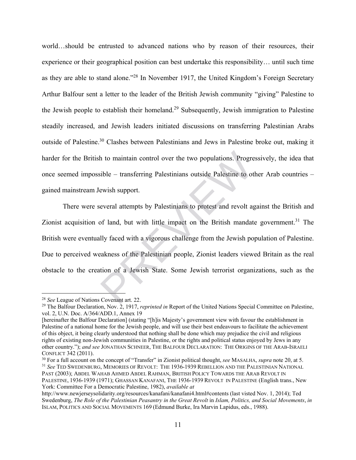world…should be entrusted to advanced nations who by reason of their resources, their experience or their geographical position can best undertake this responsibility… until such time as they are able to stand alone."28 In November 1917, the United Kingdom's Foreign Secretary Arthur Balfour sent a letter to the leader of the British Jewish community "giving" Palestine to the Jewish people to establish their homeland.29 Subsequently, Jewish immigration to Palestine steadily increased, and Jewish leaders initiated discussions on transferring Palestinian Arabs outside of Palestine.30 Clashes between Palestinians and Jews in Palestine broke out, making it harder for the British to maintain control over the two populations. Progressively, the idea that once seemed impossible – transferring Palestinians outside Palestine to other Arab countries – gained mainstream Jewish support.

There were several attempts by Palestinians to protest and revolt against the British and Zionist acquisition of land, but with little impact on the British mandate government.<sup>31</sup> The British were eventually faced with a vigorous challenge from the Jewish population of Palestine. Due to perceived weakness of the Palestinian people, Zionist leaders viewed Britain as the real obstacle to the creation of a Jewish State. Some Jewish terrorist organizations, such as the In to maintain control over the two populations. Progress<br>
Suble – transferring Palestinians outside Palestine to ot<br>
ewish support.<br>
Everal attempts by Palestinians to protest and revolt as<br>
of land, but with little impac

1

CONFLICT 342 (2011).<br><sup>30</sup> For a full account on the concept of "Transfer" in Zionist political thought, *see* MASALHA, *supra* note 20, at 5.<br><sup>31</sup> See TED SWEDENBURG, MEMORIES OF REVOLT: THE 1936-1939 REBELLION AND THE PAL PAST (2003); ABDEL WAHAB AHMED ABDEL RAHMAN, BRITISH POLICY TOWARDS THE ARAB REVOLT IN

<sup>&</sup>lt;sup>28</sup> *See* League of Nations Covenant art. 22.<br><sup>29</sup> The Balfour Declaration, Nov. 2, 1917, *reprinted in* Report of the United Nations Special Committee on Palestine, vol. 2, U.N. Doc. A/364/ADD.1, Annex 19

<sup>[</sup>hereinafter the Balfour Declaration] (stating "[h]is Majesty's government view with favour the establishment in Palestine of a national home for the Jewish people, and will use their best endeavours to facilitate the achievement of this object, it being clearly understood that nothing shall be done which may prejudice the civil and religious rights of existing non-Jewish communities in Palestine, or the rights and political status enjoyed by Jews in any other country."); *and see* JONATHAN SCHNEER, THE BALFOUR DECLARATION: THE ORIGINS OF THE ARAB-ISRAELI

PALESTINE, 1936-1939 (1971); GHASSAN KANAFANI, THE 1936-1939 REVOLT IN PALESTINE (English trans., New York: Committee For a Democratic Palestine, 1982), *available at* 

http://www.newjerseysolidarity.org/resources/kanafani/kanafani4.html#contents (last visted Nov. 1, 2014); Ted Swedenburg, *The Role of the Palestinian Peasantry in the Great Revolt* in *Islam, Politics, and Social Movements*, *in*  ISLAM, POLITICS AND SOCIAL MOVEMENTS 169 (Edmund Burke, Ira Marvin Lapidus, eds., 1988).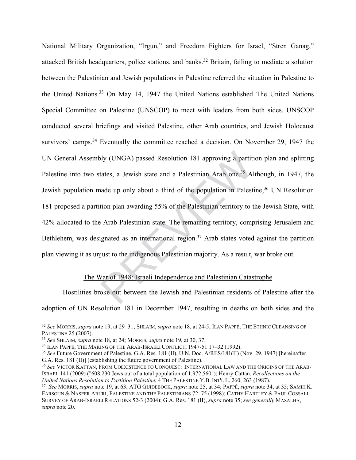National Military Organization, "Irgun," and Freedom Fighters for Israel, "Stren Ganag," attacked British headquarters, police stations, and banks.<sup>32</sup> Britain, failing to mediate a solution between the Palestinian and Jewish populations in Palestine referred the situation in Palestine to the United Nations.33 On May 14, 1947 the United Nations established The United Nations Special Committee on Palestine (UNSCOP) to meet with leaders from both sides. UNSCOP conducted several briefings and visited Palestine, other Arab countries, and Jewish Holocaust survivors' camps.<sup>34</sup> Eventually the committee reached a decision. On November 29, 1947 the UN General Assembly (UNGA) passed Resolution 181 approving a partition plan and splitting Palestine into two states, a Jewish state and a Palestinian Arab one.<sup>35</sup> Although, in 1947, the Jewish population made up only about a third of the population in Palestine,<sup>36</sup> UN Resolution 181 proposed a partition plan awarding 55% of the Palestinian territory to the Jewish State, with 42% allocated to the Arab Palestinian state. The remaining territory, comprising Jerusalem and Bethlehem, was designated as an international region.<sup>37</sup> Arab states voted against the partition plan viewing it as unjust to the indigenous Palestinian majority. As a result, war broke out. bly (UNGA) passed Resolution 181 approving a partitititates, a Jewish state and a Palestinian Arab one.<sup>35</sup> Al<br>nade up only about a third of the population in Palest<br>tion plan awarding 55% of the Palestinian territory to t

### The War of 1948: Israeli Independence and Palestinian Catastrophe

Hostilities broke out between the Jewish and Palestinian residents of Palestine after the adoption of UN Resolution 181 in December 1947, resulting in deaths on both sides and the

<sup>32</sup> *See* MORRIS, *supra* note 19, at 29–31; SHLAIM, *supra* note 18, at 24-5; ILAN PAPPÉ, THE ETHNIC CLEANSING OF PALESTINE 25 (2007).<br><sup>33</sup> See SHLAIM, *supra* note 18, at 24; MORRIS, *supra* note 19, at 30, 37.<br><sup>34</sup> ILAN PAPPÉ, THE MAKING OF THE ARAB-ISRAELI CONFLICT, 1947-51 17–32 (1992).<br><sup>35</sup> See Future Government of Palestine, G.A

G.A. Res. 181 (II)] (establishing the future government of Palestine).

<sup>36</sup> *See* VICTOR KATTAN, FROM COEXISTENCE TO CONQUEST: INTERNATIONAL LAW AND THE ORIGINS OF THE ARAB-ISRAEL 141 (2009) ("608,230 Jews out of a total population of 1,972,560"); Henry Cattan, *Recollections on the* 

<sup>&</sup>lt;sup>37</sup> See MORRIS, supra note 19, at 63; ATG GUIDEBOOK, supra note 25, at 34; PAPPÉ, supra note 34, at 35; SAMIH K. FARSOUN & NASEER ARURI, PALESTINE AND THE PALESTINIANS 72–75 (1998); CATHY HARTLEY & PAUL COSSALI, SURVEY OF ARAB-ISRAELI RELATIONS 52-3 (2004); G.A. Res. 181 (II), *supra* note 35; *see generally* MASALHA, *supra* note 20.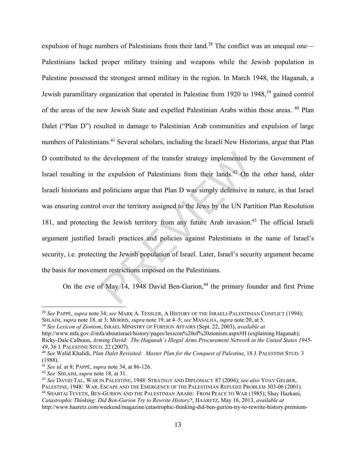expulsion of huge numbers of Palestinians from their land.<sup>38</sup> The conflict was an unequal one— Palestinians lacked proper military training and weapons while the Jewish population in Palestine possessed the strongest armed military in the region. In March 1948, the Haganah, a Jewish paramilitary organization that operated in Palestine from 1920 to 1948,<sup>39</sup> gained control of the areas of the new Jewish State and expelled Palestinian Arabs within those areas. 40 Plan Dalet ("Plan D") resulted in damage to Palestinian Arab communities and expulsion of large numbers of Palestinians.<sup>41</sup> Several scholars, including the Israeli New Historians, argue that Plan D contributed to the development of the transfer strategy implemented by the Government of Israel resulting in the expulsion of Palestinians from their lands.<sup>42</sup> On the other hand, older Israeli historians and politicians argue that Plan D was simply defensive in nature, in that Israel was ensuring control over the territory assigned to the Jews by the UN Partition Plan Resolution 181, and protecting the Jewish territory from any future Arab invasion.<sup>43</sup> The official Israeli argument justified Israeli practices and policies against Palestinians in the name of Israel's security, i.e. protecting the Jewish population of Israel. Later, Israel's security argument became the basis for movement restrictions imposed on the Palestinians. e development of the transfer strategy implemented by<br>he expulsion of Palestinians from their lands.<sup>42</sup> On t<br>I politicians argue that Plan D was simply defensive in<br>I over the territory assigned to the Jews by the UN Part

On the eve of May 14, 1948 David Ben-Gurion,<sup>44</sup> the primary founder and first Prime

<sup>38</sup> *See* PAPPÉ, *supra* note 34; *see* MARK A. TESSLER, A HISTORY OF THE ISRAELI-PALESTINIAN CONFLICT (1994);

<sup>&</sup>lt;sup>39</sup> See Lexicon of Zionism, ISRAEL MINISTRY OF FOREIGN AFFAIRS (Sept. 22, 2003), available at

http://www.mfa.gov.il/mfa/aboutisrael/history/pages/lexicon%20of%20zionism.aspx#H (explaining Haganah); Ricky-Dale Calhoun, *Arming David: The Haganah's Illegal Arms Procurement Network in the United States 1945- <sup>49</sup>*, 36 J. PALESTINE STUD. 22 (2007). 40 *See* Walid Khalidi, *Plan Dalet Revisited: Master Plan for the Conquest of Palestine*, 18 J. PALESTINE STUD. 3

<sup>(1988).&</sup>lt;br><sup>41</sup> See id. at 8; PAPPÉ, *supra* note 34, at 86-126.

<sup>&</sup>lt;sup>42</sup> See SHLAIM, *supra* note 18, at 31.<br><sup>43</sup> See David Tal, War in Palestine, 1948: Strategy and Diplomacy 87 (2004); *see also* Yoav Gelber,<br>Palestine, 1948: War, Escape and the Emergence of the Palestinian Refugee Probl <sup>44</sup> SHABTAI TEVETH, BEN-GURION AND THE PALESTINIAN ARABS: FROM PEACE TO WAR (1985); Shay Hazkani, *Catastrophic Thinking: Did Ben-Gurion Try to Rewrite History?*, HAARETZ, May 16, 2013, *available at*

http://www.haaretz.com/weekend/magazine/catastrophic-thinking-did-ben-gurion-try-to-rewrite-history.premium-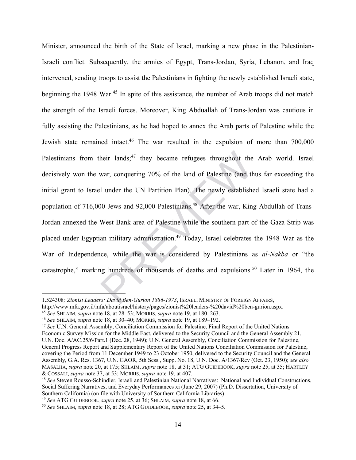Minister, announced the birth of the State of Israel, marking a new phase in the Palestinian-Israeli conflict. Subsequently, the armies of Egypt, Trans-Jordan, Syria, Lebanon, and Iraq intervened, sending troops to assist the Palestinians in fighting the newly established Israeli state, beginning the 1948 War.<sup>45</sup> In spite of this assistance, the number of Arab troops did not match the strength of the Israeli forces. Moreover, King Abduallah of Trans-Jordan was cautious in fully assisting the Palestinians, as he had hoped to annex the Arab parts of Palestine while the Jewish state remained intact.46 The war resulted in the expulsion of more than 700,000 Palestinians from their lands; $47$  they became refugees throughout the Arab world. Israel decisively won the war, conquering 70% of the land of Palestine (and thus far exceeding the initial grant to Israel under the UN Partition Plan). The newly established Israeli state had a population of 716,000 Jews and 92,000 Palestinians.<sup>48</sup> After the war, King Abdullah of Trans-Jordan annexed the West Bank area of Palestine while the southern part of the Gaza Strip was placed under Egyptian military administration.49 Today, Israel celebrates the 1948 War as the War of Independence, while the war is considered by Palestinians as *al-Nakba* or "the catastrophe," marking hundreds of thousands of deaths and expulsions.50 Later in 1964, the heir lands;<sup>47</sup> they became refugees throughout the<br>war, conquering 70% of the land of Palestine (and the<br>1 under the UN Partition Plan). The newly establishe<br>90 Jews and 92,000 Palestinians.<sup>48</sup> After the war, King<br>West B

<sup>1.524308</sup>*; Zionist Leaders: David Ben-Gurion 1886-1973*, ISRAELI MINISTRY OF FOREIGN AFFAIRS,

http://www.mfa.gov.il/mfa/aboutisrael/history/pages/zionist%20leaders-%20david%20ben-gurion.aspx.<br><sup>45</sup> See SHLAIM, *supra* note 18, at 28–53; MORRIS, *supra* note 19, at 180–263.<br><sup>46</sup> See SHLAIM, *supra* note 18, at 30–40;

Economic Survey Mission for the Middle East, delivered to the Security Council and the General Assembly 21, U.N. Doc. A/AC.25/6/Part.1 (Dec. 28, 1949); U.N. General Assembly, Conciliation Commission for Palestine, General Progress Report and Supplementary Report of the United Nations Conciliation Commission for Palestine, covering the Period from 11 December 1949 to 23 October 1950, delivered to the Security Council and the General Assembly, G.A. Res. 1367, U.N. GAOR, 5th Sess., Supp. No. 18, U.N. Doc. A/1367/Rev (Oct. 23, 1950); *see also* MASALHA, *supra* note 20, at 175; SHLAIM, *supra* note 18, at 31; ATG GUIDEBOOK, *supra* note 25, at 35; HARTLEY

<sup>&</sup>lt;sup>48</sup> See Steven Rousso-Schindler, Israeli and Palestinian National Narratives: National and Individual Constructions, Social Suffering Narratives, and Everyday Performances xi (June 29, 2007) (Ph.D. Dissertation, University of Southern California) (on file with University of Southern California Libraries).<br><sup>49</sup> See ATG GUIDEBOOK, *supra* note 25, at 36; SHLAIM, *supra* note 18, at 66.

<sup>49</sup> *See* ATG GUIDEBOOK, *supra* note 25, at 36; SHLAIM, *supra* note 18, at 66. 50 *See* SHLAIM, *supra* note 18, at 28; ATG GUIDEBOOK, *supra* note 25, at 34–5.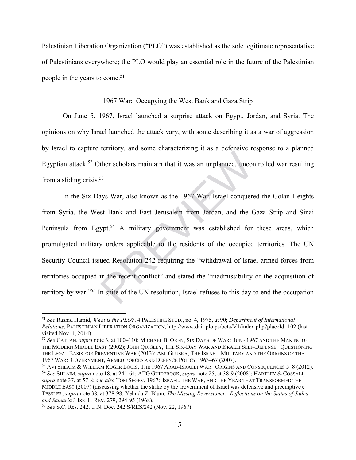Palestinian Liberation Organization ("PLO") was established as the sole legitimate representative of Palestinians everywhere; the PLO would play an essential role in the future of the Palestinian people in the years to come.<sup>51</sup>

### 1967 War: Occupying the West Bank and Gaza Strip

On June 5, 1967, Israel launched a surprise attack on Egypt, Jordan, and Syria. The opinions on why Israel launched the attack vary, with some describing it as a war of aggression by Israel to capture territory, and some characterizing it as a defensive response to a planned Egyptian attack.<sup>52</sup> Other scholars maintain that it was an unplanned, uncontrolled war resulting from a sliding crisis. $53$ 

In the Six Days War, also known as the 1967 War, Israel conquered the Golan Heights from Syria, the West Bank and East Jerusalem from Jordan, and the Gaza Strip and Sinai Peninsula from Egypt.<sup>54</sup> A military government was established for these areas, which promulgated military orders applicable to the residents of the occupied territories. The UN Security Council issued Resolution 242 requiring the "withdrawal of Israel armed forces from territories occupied in the recent conflict" and stated the "inadmissibility of the acquisition of territory by war."55 In spite of the UN resolution, Israel refuses to this day to end the occupation ther scholars maintain that it was an unplanned, uncors<sup>53</sup><br>says War, also known as the 1967 War, Israel conquere<br>st Bank and East Jerusalem from Jordan, and the C<br>ypt.<sup>54</sup> A military government was established for<br>y order

<sup>51</sup> *See* Rashid Hamid, *What is the PLO?*, 4 PALESTINE STUD., no. 4, 1975, at 90; *Department of International Relations*, PALESTINIAN LIBERATION ORGANIZATION, http://www.dair.plo.ps/beta/V1/index.php?placeId=102 (last visited Nov. 1, 2014) . 52 *See* CATTAN, *supra* note 3, at 100–110; MICHAEL B. OREN, SIX DAYS OF WAR: JUNE 1967 AND THE MAKING OF

THE MODERN MIDDLE EAST (2002); JOHN QUIGLEY, THE SIX-DAY WAR AND ISRAELI SELF-DEFENSE: QUESTIONING THE LEGAL BASIS FOR PREVENTIVE WAR (2013); AMI GLUSKA, THE ISRAELI MILITARY AND THE ORIGINS OF THE

<sup>1967</sup> WAR: GOVERNMENT, ARMED FORCES AND DEFENCE POLICY 1963–67 (2007).<br><sup>53</sup> AVI SHLAIM & WILLIAM ROGER LOUIS, THE 1967 ARAB-ISRAELI WAR: ORIGINS AND CONSEQUENCES 5–8 (2012).<br><sup>54</sup> See SHLAIM, *supra* note 18, at 241-64; ATG *supra* note 37, at 57-8; *see also* TOM SEGEV, 1967: ISRAEL, THE WAR, AND THE YEAR THAT TRANSFORMED THE MIDDLE EAST (2007) (discussing whether the strike by the Government of Israel was defensive and preemptive); TESSLER, *supra* note 38, at 378-98; Yehuda Z. Blum, *The Missing Reversioner: Reflections on the Status of Judea* 

<sup>&</sup>lt;sup>55</sup> *See* S.C. Res. 242, U.N. Doc. 242 S/RES/242 (Nov. 22, 1967).